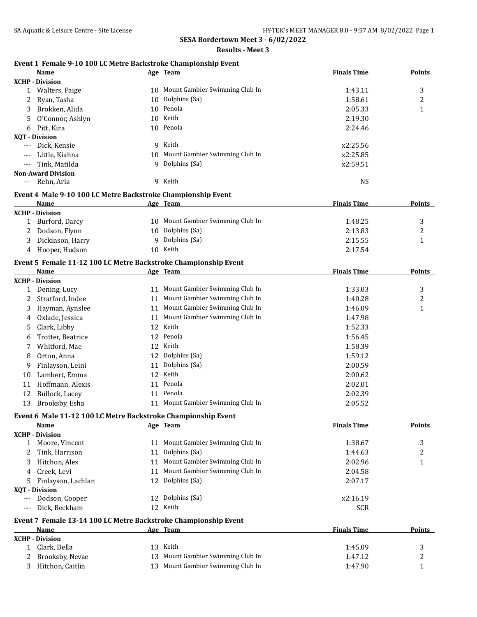**Results - Meet 3**

# **Event 1 Female 9-10 100 LC Metre Backstroke Championship Event**

|              | Name                                                            |    | Age Team                          | <b>Finals Time</b> | <b>Points</b> |
|--------------|-----------------------------------------------------------------|----|-----------------------------------|--------------------|---------------|
|              | <b>XCHP</b> - Division                                          |    |                                   |                    |               |
|              | 1 Walters, Paige                                                |    | 10 Mount Gambier Swimming Club In | 1:43.11            | 3             |
| 2            | Ryan, Tasha                                                     |    | 10 Dolphins (Sa)                  | 1:58.61            | 2             |
| 3            | Brokken, Alida                                                  |    | 10 Penola                         | 2:05.33            | $\mathbf{1}$  |
| 5            | O'Connor, Ashlyn                                                |    | 10 Keith                          | 2:19.30            |               |
| 6            | Pitt, Kira                                                      |    | 10 Penola                         | 2:24.46            |               |
|              | XOT - Division                                                  |    |                                   |                    |               |
|              | Dick, Kensie                                                    |    | 9 Keith                           | x2:25.56           |               |
|              | Little, Kiahna                                                  |    | 10 Mount Gambier Swimming Club In | x2:25.85           |               |
| $---$        | Tink, Matilda                                                   |    | 9 Dolphins (Sa)                   | x2:59.51           |               |
|              | <b>Non-Award Division</b>                                       |    |                                   |                    |               |
| $---$        | Rehn, Aria                                                      |    | 9 Keith                           | <b>NS</b>          |               |
|              | Event 4 Male 9-10 100 LC Metre Backstroke Championship Event    |    |                                   |                    |               |
|              | <b>Name</b>                                                     |    | Age Team                          | <b>Finals Time</b> | <b>Points</b> |
|              | <b>XCHP - Division</b>                                          |    |                                   |                    |               |
| 1            | Burford, Darcy                                                  |    | 10 Mount Gambier Swimming Club In | 1:48.25            | 3             |
| 2            | Dodson, Flynn                                                   |    | 10 Dolphins (Sa)                  | 2:13.83            | 2             |
| 3            | Dickinson, Harry                                                |    | 9 Dolphins (Sa)                   | 2:15.55            | 1             |
| 4            | Hooper, Hudson                                                  |    | 10 Keith                          | 2:17.54            |               |
|              |                                                                 |    |                                   |                    |               |
|              | Event 5 Female 11-12 100 LC Metre Backstroke Championship Event |    |                                   |                    |               |
|              | Name                                                            |    | Age Team                          | <b>Finals Time</b> | <b>Points</b> |
|              | <b>XCHP - Division</b>                                          |    |                                   |                    |               |
| 1            | Dening, Lucy                                                    |    | 11 Mount Gambier Swimming Club In | 1:33.03            | 3             |
| 2            | Stratford, Indee                                                |    | 11 Mount Gambier Swimming Club In | 1:40.28            | 2             |
| 3            | Hayman, Aynslee                                                 |    | 11 Mount Gambier Swimming Club In | 1:46.09            | 1             |
| 4            | Oxlade, Jessica                                                 | 11 | Mount Gambier Swimming Club In    | 1:47.98            |               |
| 5            | Clark, Libby                                                    | 12 | Keith                             | 1:52.33            |               |
| 6            | Trotter, Beatrice                                               | 12 | Penola                            | 1:56.45            |               |
| 7            | Whitford, Mae                                                   | 12 | Keith                             | 1:58.39            |               |
| 8            | Orton, Anna                                                     | 12 | Dolphins (Sa)                     | 1:59.12            |               |
| 9            | Finlayson, Leini                                                | 11 | Dolphins (Sa)                     | 2:00.59            |               |
| 10           | Lambert, Emma                                                   | 12 | Keith                             | 2:00.62            |               |
| 11           | Hoffmann, Alexis                                                |    | 11 Penola                         | 2:02.01            |               |
| 12           | Bullock, Lacey                                                  |    | 11 Penola                         | 2:02.39            |               |
| 13           | Brooksby, Esha                                                  |    | 11 Mount Gambier Swimming Club In | 2:05.52            |               |
|              | Event 6 Male 11-12 100 LC Metre Backstroke Championship Event   |    |                                   |                    |               |
|              | <b>Name</b>                                                     |    | Age Team                          | <b>Finals Time</b> | <b>Points</b> |
|              | <b>XCHP - Division</b>                                          |    |                                   |                    |               |
| $\mathbf{1}$ | Moore, Vincent                                                  |    | 11 Mount Gambier Swimming Club In | 1:38.67            | 3             |
| 2            | Tink, Harrison                                                  |    | 11 Dolphins (Sa)                  | 1:44.63            | 2             |
| 3            | Hitchon, Alex                                                   | 11 | Mount Gambier Swimming Club In    | 2:02.96            | $\mathbf{1}$  |
| 4            | Creek, Levi                                                     | 11 | Mount Gambier Swimming Club In    | 2:04.58            |               |
|              |                                                                 | 12 | Dolphins (Sa)                     |                    |               |
| 5.           | Finlayson, Lachlan<br>XQT - Division                            |    |                                   | 2:07.17            |               |
|              | Dodson, Cooper                                                  |    | 12 Dolphins (Sa)                  | x2:16.19           |               |
|              | Dick, Beckham                                                   |    | 12 Keith                          | <b>SCR</b>         |               |
|              |                                                                 |    |                                   |                    |               |
|              | Event 7 Female 13-14 100 LC Metre Backstroke Championship Event |    |                                   |                    |               |
|              | Name                                                            |    | Age Team                          | <b>Finals Time</b> | <b>Points</b> |
|              | <b>XCHP - Division</b>                                          |    |                                   |                    |               |
| 1            | Clark, Della                                                    | 13 | Keith                             | 1:45.09            | 3             |
|              | Brooksby, Nevae                                                 | 13 | Mount Gambier Swimming Club In    | 1:47.12            | 2             |
| 3            | Hitchon, Caitlin                                                |    | 13 Mount Gambier Swimming Club In | 1:47.90            | 1             |
|              |                                                                 |    |                                   |                    |               |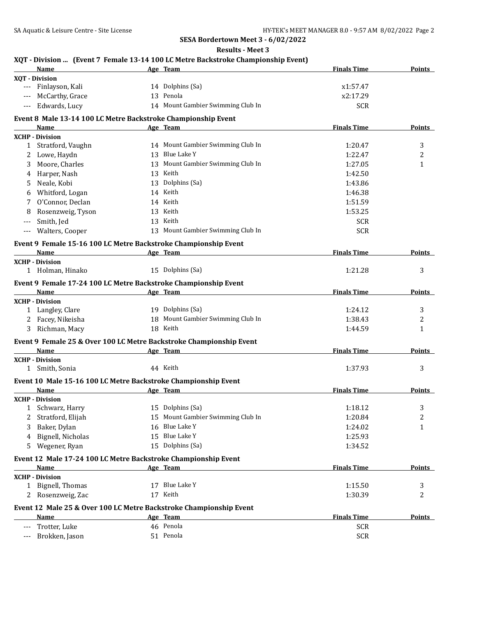**Results - Meet 3**

|       | Name                                                                  | XQT - Division  (Event 7 Female 13-14 100 LC Metre Backstroke Championship Event)<br>Age Team | <b>Finals Time</b> | <b>Points</b> |
|-------|-----------------------------------------------------------------------|-----------------------------------------------------------------------------------------------|--------------------|---------------|
|       | XOT - Division                                                        |                                                                                               |                    |               |
| ---   | Finlayson, Kali                                                       | 14 Dolphins (Sa)                                                                              | x1:57.47           |               |
|       | McCarthy, Grace                                                       | 13 Penola                                                                                     | x2:17.29           |               |
| $---$ | Edwards, Lucy                                                         | 14 Mount Gambier Swimming Club In                                                             | <b>SCR</b>         |               |
|       |                                                                       |                                                                                               |                    |               |
|       | Event 8 Male 13-14 100 LC Metre Backstroke Championship Event<br>Name | Age Team                                                                                      | <b>Finals Time</b> | Points        |
|       | <b>XCHP - Division</b>                                                |                                                                                               |                    |               |
| 1     | Stratford, Vaughn                                                     | 14 Mount Gambier Swimming Club In                                                             | 1:20.47            | 3             |
| 2     | Lowe, Haydn                                                           | 13 Blue Lake Y                                                                                | 1:22.47            | 2             |
| 3     | Moore, Charles                                                        | 13 Mount Gambier Swimming Club In                                                             | 1:27.05            | $\mathbf{1}$  |
|       | Harper, Nash                                                          | 13 Keith                                                                                      | 1:42.50            |               |
| 5     | Neale, Kobi                                                           | 13 Dolphins (Sa)                                                                              | 1:43.86            |               |
| 6     | Whitford, Logan                                                       | 14 Keith                                                                                      | 1:46.38            |               |
|       | O'Connor, Declan                                                      | 14 Keith                                                                                      | 1:51.59            |               |
|       |                                                                       |                                                                                               |                    |               |
| 8     | Rosenzweig, Tyson                                                     | 13 Keith                                                                                      | 1:53.25            |               |
| ---   | Smith, Jed                                                            | 13 Keith                                                                                      | <b>SCR</b>         |               |
| ---   | Walters, Cooper                                                       | 13 Mount Gambier Swimming Club In                                                             | <b>SCR</b>         |               |
|       | Event 9 Female 15-16 100 LC Metre Backstroke Championship Event       |                                                                                               |                    |               |
|       | <b>Name</b>                                                           | Age Team                                                                                      | <b>Finals Time</b> | <b>Points</b> |
|       | <b>XCHP - Division</b>                                                |                                                                                               |                    |               |
|       | 1 Holman, Hinako                                                      | 15 Dolphins (Sa)                                                                              | 1:21.28            | 3             |
|       | Event 9 Female 17-24 100 LC Metre Backstroke Championship Event       |                                                                                               |                    |               |
|       | Name                                                                  | Age Team                                                                                      | <b>Finals Time</b> | Points        |
|       | <b>XCHP</b> - Division                                                |                                                                                               |                    |               |
|       | 1 Langley, Clare                                                      | 19 Dolphins (Sa)                                                                              | 1:24.12            | 3             |
|       | 2 Facey, Nikeisha                                                     | 18 Mount Gambier Swimming Club In                                                             | 1:38.43            | 2             |
| 3     | Richman, Macy                                                         | 18 Keith                                                                                      | 1:44.59            | 1             |
|       |                                                                       |                                                                                               |                    |               |
|       | Name                                                                  | Event 9 Female 25 & Over 100 LC Metre Backstroke Championship Event<br>Age Team               | <b>Finals Time</b> | Points        |
|       | <b>XCHP - Division</b>                                                |                                                                                               |                    |               |
|       | 1 Smith, Sonia                                                        | 44 Keith                                                                                      | 1:37.93            | 3             |
|       |                                                                       |                                                                                               |                    |               |
|       | Event 10 Male 15-16 100 LC Metre Backstroke Championship Event        |                                                                                               |                    |               |
|       | Name                                                                  | Age Team                                                                                      | <b>Finals Time</b> | <b>Points</b> |
|       | <b>XCHP - Division</b>                                                |                                                                                               |                    |               |
| T     | Schwarz, Harry                                                        | 15 Dolphins (Sa)                                                                              | 1:18.12            | 3             |
| 2     | Stratford, Elijah                                                     | 15 Mount Gambier Swimming Club In                                                             | 1:20.84            | 2             |
| 3     | Baker, Dylan                                                          | 16 Blue Lake Y                                                                                | 1:24.02            | 1             |
| 4     | Bignell, Nicholas                                                     | 15 Blue Lake Y                                                                                | 1:25.93            |               |
| 5     | Wegener, Ryan                                                         | 15 Dolphins (Sa)                                                                              | 1:34.52            |               |
|       | Event 12 Male 17-24 100 LC Metre Backstroke Championship Event        |                                                                                               |                    |               |
|       | Name                                                                  | Age Team                                                                                      | <b>Finals Time</b> | <b>Points</b> |
|       | <b>XCHP - Division</b>                                                |                                                                                               |                    |               |
|       | 1 Bignell, Thomas                                                     | 17 Blue Lake Y                                                                                | 1:15.50            | 3             |
|       | 2 Rosenzweig, Zac                                                     | 17 Keith                                                                                      | 1:30.39            | 2             |
|       |                                                                       | Event 12 Male 25 & Over 100 LC Metre Backstroke Championship Event                            |                    |               |
|       | <b>Name</b>                                                           | Age Team                                                                                      | <b>Finals Time</b> | <b>Points</b> |
|       |                                                                       | 46 Penola                                                                                     |                    |               |
| $---$ | Trotter, Luke                                                         |                                                                                               | <b>SCR</b>         |               |
| ---   | Brokken, Jason                                                        | 51 Penola                                                                                     | <b>SCR</b>         |               |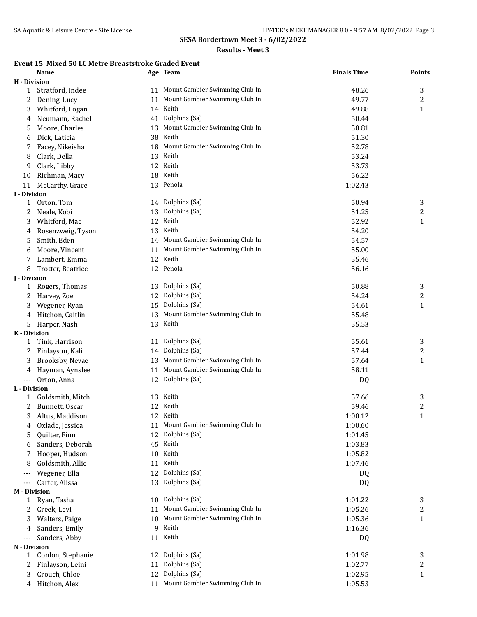#### **Results - Meet 3**

# **Event 15 Mixed 50 LC Metre Breaststroke Graded Event**

|                     | <b>Name</b>       |    | Age Team                          | <b>Finals Time</b> | <b>Points</b>  |
|---------------------|-------------------|----|-----------------------------------|--------------------|----------------|
| <b>H</b> - Division |                   |    |                                   |                    |                |
| 1                   | Stratford, Indee  |    | 11 Mount Gambier Swimming Club In | 48.26              | 3              |
| 2                   | Dening, Lucy      | 11 | Mount Gambier Swimming Club In    | 49.77              | 2              |
| 3                   | Whitford, Logan   |    | 14 Keith                          | 49.88              | 1              |
| 4                   | Neumann, Rachel   | 41 | Dolphins (Sa)                     | 50.44              |                |
| 5                   | Moore, Charles    | 13 | Mount Gambier Swimming Club In    | 50.81              |                |
| 6                   | Dick, Laticia     |    | 38 Keith                          | 51.30              |                |
| 7                   | Facey, Nikeisha   | 18 | Mount Gambier Swimming Club In    | 52.78              |                |
| 8                   | Clark, Della      | 13 | Keith                             | 53.24              |                |
| 9                   | Clark, Libby      |    | 12 Keith                          | 53.73              |                |
| 10                  | Richman, Macy     |    | 18 Keith                          | 56.22              |                |
| 11                  | McCarthy, Grace   |    | 13 Penola                         | 1:02.43            |                |
| I - Division        |                   |    |                                   |                    |                |
| 1                   | Orton, Tom        |    | 14 Dolphins (Sa)                  | 50.94              | 3              |
| 2                   | Neale, Kobi       | 13 | Dolphins (Sa)                     | 51.25              | 2              |
| 3                   | Whitford, Mae     | 12 | Keith                             | 52.92              | 1              |
| 4                   | Rosenzweig, Tyson | 13 | Keith                             | 54.20              |                |
| 5                   | Smith, Eden       |    | 14 Mount Gambier Swimming Club In | 54.57              |                |
| 6                   | Moore, Vincent    | 11 | Mount Gambier Swimming Club In    | 55.00              |                |
| 7                   | Lambert, Emma     |    | 12 Keith                          | 55.46              |                |
| 8                   | Trotter, Beatrice |    | 12 Penola                         | 56.16              |                |
| <b>J</b> - Division |                   |    |                                   |                    |                |
| 1                   | Rogers, Thomas    |    | 13 Dolphins (Sa)                  | 50.88              | 3              |
| 2                   | Harvey, Zoe       |    | 12 Dolphins (Sa)                  | 54.24              | 2              |
| 3                   | Wegener, Ryan     |    | 15 Dolphins (Sa)                  | 54.61              | 1              |
| 4                   | Hitchon, Caitlin  |    | 13 Mount Gambier Swimming Club In | 55.48              |                |
| 5                   | Harper, Nash      |    | 13 Keith                          | 55.53              |                |
| <b>K</b> - Division |                   |    |                                   |                    |                |
| 1                   | Tink, Harrison    |    | 11 Dolphins (Sa)                  | 55.61              | 3              |
| 2                   | Finlayson, Kali   |    | 14 Dolphins (Sa)                  | 57.44              | 2              |
| 3                   | Brooksby, Nevae   |    | 13 Mount Gambier Swimming Club In | 57.64              | 1              |
| 4                   | Hayman, Aynslee   | 11 | Mount Gambier Swimming Club In    | 58.11              |                |
| ---                 | Orton, Anna       |    | 12 Dolphins (Sa)                  | DQ                 |                |
| L - Division        |                   |    |                                   |                    |                |
| 1                   | Goldsmith, Mitch  |    | 13 Keith                          | 57.66              | 3              |
| 2                   | Bunnett, Oscar    |    | 12 Keith                          | 59.46              | $\overline{c}$ |
| 3                   | Altus, Maddison   |    | 12 Keith                          | 1:00.12            | 1              |
| 4                   | Oxlade, Jessica   |    | 11 Mount Gambier Swimming Club In | 1:00.60            |                |
| 5                   | Quilter, Finn     | 12 | Dolphins (Sa)                     | 1:01.45            |                |
|                     | Sanders, Deborah  | 45 | Keith                             | 1:03.83            |                |
| 6                   | Hooper, Hudson    | 10 | Keith                             | 1:05.82            |                |
| 7                   |                   |    | 11 Keith                          |                    |                |
| 8                   | Goldsmith, Allie  |    |                                   | 1:07.46            |                |
| ---                 | Wegener, Ella     | 12 | Dolphins (Sa)                     | DQ                 |                |
| ---                 | Carter, Alissa    | 13 | Dolphins (Sa)                     | DQ                 |                |
| <b>M</b> - Division |                   |    | 10 Dolphins (Sa)                  | 1:01.22            |                |
| 1                   | Ryan, Tasha       |    | Mount Gambier Swimming Club In    |                    | 3              |
| 2                   | Creek, Levi       | 11 | Mount Gambier Swimming Club In    | 1:05.26            | 2              |
| 3                   | Walters, Paige    | 10 |                                   | 1:05.36            | $\mathbf{1}$   |
| 4                   | Sanders, Emily    | 9  | Keith                             | 1:16.36            |                |
| ---                 | Sanders, Abby     | 11 | Keith                             | DQ                 |                |
| N - Division        |                   |    |                                   |                    |                |
| 1                   | Conlon, Stephanie | 12 | Dolphins (Sa)                     | 1:01.98            | 3              |
| 2                   | Finlayson, Leini  | 11 | Dolphins (Sa)                     | 1:02.77            | 2              |
| 3                   | Crouch, Chloe     | 12 | Dolphins (Sa)                     | 1:02.95            | $\mathbf{1}$   |
| 4                   | Hitchon, Alex     | 11 | Mount Gambier Swimming Club In    | 1:05.53            |                |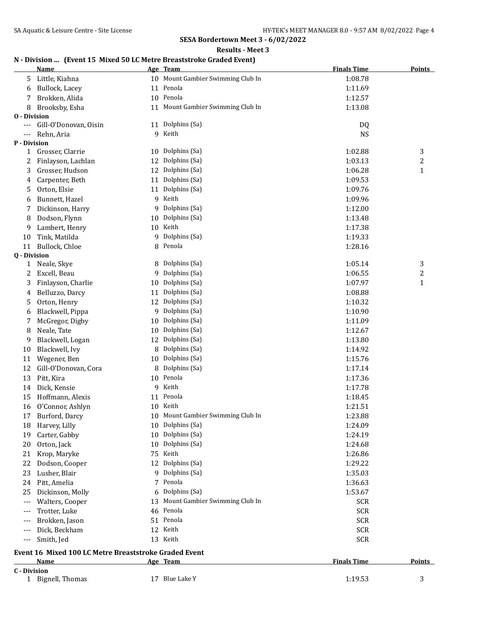**Results - Meet 3**

## **N - Division ... (Event 15 Mixed 50 LC Metre Breaststroke Graded Event)**

|                     | <b>Name</b>           |    | Age Team                          | <b>Finals Time</b> | <b>Points</b> |
|---------------------|-----------------------|----|-----------------------------------|--------------------|---------------|
| 5                   | Little, Kiahna        |    | 10 Mount Gambier Swimming Club In | 1:08.78            |               |
| 6                   | Bullock, Lacey        |    | 11 Penola                         | 1:11.69            |               |
| 7                   | Brokken, Alida        |    | 10 Penola                         | 1:12.57            |               |
| 8                   | Brooksby, Esha        |    | 11 Mount Gambier Swimming Club In | 1:13.08            |               |
| <b>0</b> - Division |                       |    |                                   |                    |               |
|                     | Gill-O'Donovan, Oisin |    | 11 Dolphins (Sa)                  | DQ                 |               |
|                     | Rehn, Aria            |    | 9 Keith                           | <b>NS</b>          |               |
| P - Division        |                       |    |                                   |                    |               |
| 1                   | Grosser, Clarrie      |    | 10 Dolphins (Sa)                  | 1:02.88            | 3             |
| 2                   | Finlayson, Lachlan    | 12 | Dolphins (Sa)                     | 1:03.13            | 2             |
| 3                   | Grosser, Hudson       | 12 | Dolphins (Sa)                     | 1:06.28            | $\mathbf{1}$  |
| 4                   | Carpenter, Beth       | 11 | Dolphins (Sa)                     | 1:09.53            |               |
| 5                   | Orton, Elsie          | 11 | Dolphins (Sa)                     | 1:09.76            |               |
| 6                   | Bunnett, Hazel        | 9  | Keith                             | 1:09.96            |               |
| 7                   | Dickinson, Harry      | 9  | Dolphins (Sa)                     | 1:12.00            |               |
| 8                   | Dodson, Flynn         | 10 | Dolphins (Sa)                     | 1:13.48            |               |
| 9                   | Lambert, Henry        | 10 | Keith                             | 1:17.38            |               |
| 10                  | Tink, Matilda         | 9  | Dolphins (Sa)                     | 1:19.33            |               |
| 11                  | Bullock, Chloe        | 8  | Penola                            | 1:28.16            |               |
| Q - Division        |                       |    |                                   |                    |               |
| 1                   | Neale, Skye           | 8  | Dolphins (Sa)                     | 1:05.14            | 3             |
| 2                   | Excell, Beau          | 9  | Dolphins (Sa)                     | 1:06.55            | 2             |
| 3                   | Finlayson, Charlie    | 10 | Dolphins (Sa)                     | 1:07.97            | $\mathbf{1}$  |
| 4                   | Belluzzo, Darcy       | 11 | Dolphins (Sa)                     | 1:08.88            |               |
| 5                   | Orton, Henry          | 12 | Dolphins (Sa)                     | 1:10.32            |               |
| 6                   | Blackwell, Pippa      | 9  | Dolphins (Sa)                     | 1:10.90            |               |
| 7                   | McGregor, Digby       | 10 | Dolphins (Sa)                     | 1:11.09            |               |
| 8                   | Neale, Tate           | 10 | Dolphins (Sa)                     | 1:12.67            |               |
| 9                   | Blackwell, Logan      | 12 | Dolphins (Sa)                     | 1:13.80            |               |
| 10                  | Blackwell, Ivy        | 8  | Dolphins (Sa)                     | 1:14.92            |               |
| 11                  | Wegener, Ben          | 10 | Dolphins (Sa)                     | 1:15.76            |               |
| 12                  | Gill-O'Donovan, Cora  | 8  | Dolphins (Sa)                     | 1:17.14            |               |
| 13                  | Pitt, Kira            |    | 10 Penola                         | 1:17.36            |               |
| 14                  | Dick, Kensie          | 9  | Keith                             | 1:17.78            |               |
| 15                  | Hoffmann, Alexis      |    | 11 Penola                         | 1:18.45            |               |
| 16                  | O'Connor, Ashlyn      |    | 10 Keith                          | 1:21.51            |               |
| 17                  | Burford, Darcy        |    | Mount Gambier Swimming Club In    | 1:23.88            |               |
| 18                  | Harvey, Lilly         |    | 10 Dolphins (Sa)                  | 1:24.09            |               |
| 19                  | Carter, Gabby         | 10 | Dolphins (Sa)                     | 1:24.19            |               |
| 20                  | Orton, Jack           | 10 | Dolphins (Sa)                     | 1:24.68            |               |
| 21                  | Krop, Maryke          | 75 | Keith                             | 1:26.86            |               |
| 22                  | Dodson, Cooper        | 12 | Dolphins (Sa)                     | 1:29.22            |               |
| 23                  | Lusher, Blair         |    | 9 Dolphins (Sa)                   | 1:35.03            |               |
| 24                  | Pitt, Amelia          | 7  | Penola                            | 1:36.63            |               |
| 25                  | Dickinson, Molly      | 6  | Dolphins (Sa)                     | 1:53.67            |               |
| $---$               | Walters, Cooper       | 13 | Mount Gambier Swimming Club In    | <b>SCR</b>         |               |
| $---$               | Trotter, Luke         |    | 46 Penola                         | <b>SCR</b>         |               |
| $---$               | Brokken, Jason        |    | 51 Penola                         | <b>SCR</b>         |               |
| ---                 | Dick, Beckham         | 12 | Keith                             | <b>SCR</b>         |               |
| $---$               | Smith, Jed            |    | 13 Keith                          | <b>SCR</b>         |               |
|                     |                       |    |                                   |                    |               |

#### **Event 16 Mixed 100 LC Metre Breaststroke Graded Event Age Team Age Team Finals Time Points**

#### **C - Division**

1 Bignell, Thomas 17 Blue Lake Y 1:19.53 3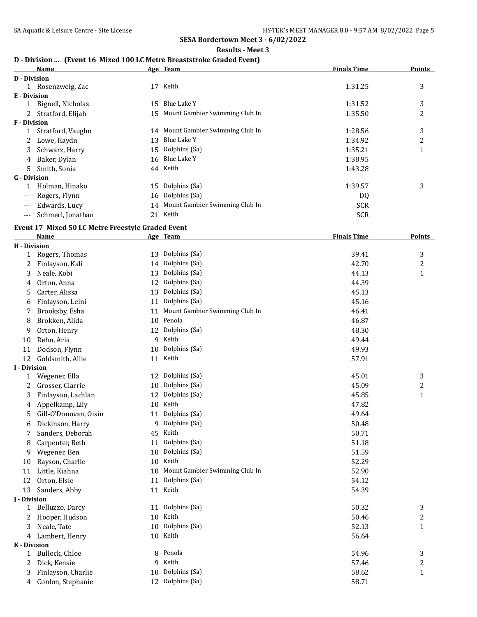**Results - Meet 3**

## **D - Division ... (Event 16 Mixed 100 LC Metre Breaststroke Graded Event)**

|              | Name                |    | Age Team                          | <b>Finals Time</b> | <b>Points</b> |
|--------------|---------------------|----|-----------------------------------|--------------------|---------------|
| D - Division |                     |    |                                   |                    |               |
|              | Rosenzweig, Zac     | 17 | Keith                             | 1:31.25            | 3             |
| E - Division |                     |    |                                   |                    |               |
|              | Bignell, Nicholas   | 15 | Blue Lake Y                       | 1:31.52            | 3             |
|              | 2 Stratford, Elijah |    | 15 Mount Gambier Swimming Club In | 1:35.50            | 2             |
| F - Division |                     |    |                                   |                    |               |
|              | Stratford, Vaughn   |    | 14 Mount Gambier Swimming Club In | 1:28.56            | 3             |
| 2            | Lowe, Haydn         | 13 | Blue Lake Y                       | 1:34.92            | 2             |
| 3            | Schwarz, Harry      |    | 15 Dolphins (Sa)                  | 1:35.21            |               |
| 4            | Baker, Dylan        |    | 16 Blue Lake Y                    | 1:38.95            |               |
| 5.           | Smith, Sonia        |    | 44 Keith                          | 1:43.28            |               |
| G - Division |                     |    |                                   |                    |               |
|              | Holman, Hinako      |    | 15 Dolphins (Sa)                  | 1:39.57            | 3             |
| $---$        | Rogers, Flynn       |    | 16 Dolphins (Sa)                  | DQ                 |               |
| $---$        | Edwards, Lucy       |    | 14 Mount Gambier Swimming Club In | <b>SCR</b>         |               |
| $---$        | Schmerl, Jonathan   | 21 | Keith                             | <b>SCR</b>         |               |
|              |                     |    |                                   |                    |               |

## **Event 17 Mixed 50 LC Metre Freestyle Graded Event**

| <b>Name</b>           |                                                                                                                                                                                                                |                                | <b>Finals Time</b>                                                                                                                                                                                                                                                                                      | <b>Points</b>                                                                                   |
|-----------------------|----------------------------------------------------------------------------------------------------------------------------------------------------------------------------------------------------------------|--------------------------------|---------------------------------------------------------------------------------------------------------------------------------------------------------------------------------------------------------------------------------------------------------------------------------------------------------|-------------------------------------------------------------------------------------------------|
| <b>H</b> - Division   |                                                                                                                                                                                                                |                                |                                                                                                                                                                                                                                                                                                         |                                                                                                 |
|                       |                                                                                                                                                                                                                |                                | 39.41                                                                                                                                                                                                                                                                                                   | 3                                                                                               |
| Finlayson, Kali       |                                                                                                                                                                                                                | Dolphins (Sa)                  | 42.70                                                                                                                                                                                                                                                                                                   | $\overline{c}$                                                                                  |
| Neale, Kobi           | 13                                                                                                                                                                                                             | Dolphins (Sa)                  | 44.13                                                                                                                                                                                                                                                                                                   | $\mathbf{1}$                                                                                    |
| Orton, Anna           | 12                                                                                                                                                                                                             |                                | 44.39                                                                                                                                                                                                                                                                                                   |                                                                                                 |
| Carter, Alissa        | 13                                                                                                                                                                                                             | Dolphins (Sa)                  | 45.13                                                                                                                                                                                                                                                                                                   |                                                                                                 |
| Finlayson, Leini      | 11                                                                                                                                                                                                             |                                | 45.16                                                                                                                                                                                                                                                                                                   |                                                                                                 |
| Brooksby, Esha        | 11                                                                                                                                                                                                             | Mount Gambier Swimming Club In | 46.41                                                                                                                                                                                                                                                                                                   |                                                                                                 |
| Brokken, Alida        | 10                                                                                                                                                                                                             | Penola                         | 46.87                                                                                                                                                                                                                                                                                                   |                                                                                                 |
| Orton, Henry          |                                                                                                                                                                                                                | Dolphins (Sa)                  | 48.30                                                                                                                                                                                                                                                                                                   |                                                                                                 |
| Rehn, Aria            | 9                                                                                                                                                                                                              | Keith                          | 49.44                                                                                                                                                                                                                                                                                                   |                                                                                                 |
| Dodson, Flynn         | 10                                                                                                                                                                                                             | Dolphins (Sa)                  | 49.93                                                                                                                                                                                                                                                                                                   |                                                                                                 |
| Goldsmith, Allie      |                                                                                                                                                                                                                |                                | 57.91                                                                                                                                                                                                                                                                                                   |                                                                                                 |
| <b>I</b> - Division   |                                                                                                                                                                                                                |                                |                                                                                                                                                                                                                                                                                                         |                                                                                                 |
|                       |                                                                                                                                                                                                                |                                |                                                                                                                                                                                                                                                                                                         | 3                                                                                               |
|                       | 10                                                                                                                                                                                                             |                                |                                                                                                                                                                                                                                                                                                         | $\overline{c}$                                                                                  |
|                       | 12                                                                                                                                                                                                             |                                |                                                                                                                                                                                                                                                                                                         | $\mathbf{1}$                                                                                    |
|                       | 10                                                                                                                                                                                                             |                                |                                                                                                                                                                                                                                                                                                         |                                                                                                 |
| Gill-O'Donovan, Oisin |                                                                                                                                                                                                                | Dolphins (Sa)                  | 49.64                                                                                                                                                                                                                                                                                                   |                                                                                                 |
| Dickinson, Harry      | 9                                                                                                                                                                                                              |                                | 50.48                                                                                                                                                                                                                                                                                                   |                                                                                                 |
| Sanders, Deborah      | 45                                                                                                                                                                                                             | Keith                          | 50.71                                                                                                                                                                                                                                                                                                   |                                                                                                 |
| Carpenter, Beth       | 11                                                                                                                                                                                                             | Dolphins (Sa)                  | 51.18                                                                                                                                                                                                                                                                                                   |                                                                                                 |
| Wegener, Ben          | 10                                                                                                                                                                                                             | Dolphins (Sa)                  | 51.59                                                                                                                                                                                                                                                                                                   |                                                                                                 |
| Rayson, Charlie       | 10                                                                                                                                                                                                             | Keith                          | 52.29                                                                                                                                                                                                                                                                                                   |                                                                                                 |
| Little, Kiahna        | 10                                                                                                                                                                                                             | Mount Gambier Swimming Club In | 52.90                                                                                                                                                                                                                                                                                                   |                                                                                                 |
| Orton, Elsie          | 11                                                                                                                                                                                                             | Dolphins (Sa)                  | 54.12                                                                                                                                                                                                                                                                                                   |                                                                                                 |
| Sanders, Abby         |                                                                                                                                                                                                                |                                | 54.39                                                                                                                                                                                                                                                                                                   |                                                                                                 |
| <b>I</b> - Division   |                                                                                                                                                                                                                |                                |                                                                                                                                                                                                                                                                                                         |                                                                                                 |
|                       | 11                                                                                                                                                                                                             |                                |                                                                                                                                                                                                                                                                                                         | 3                                                                                               |
|                       | 10                                                                                                                                                                                                             |                                |                                                                                                                                                                                                                                                                                                         | $\overline{c}$                                                                                  |
| Neale, Tate           | 10                                                                                                                                                                                                             |                                |                                                                                                                                                                                                                                                                                                         | $\mathbf{1}$                                                                                    |
| Lambert, Henry        |                                                                                                                                                                                                                |                                | 56.64                                                                                                                                                                                                                                                                                                   |                                                                                                 |
| K - Division          |                                                                                                                                                                                                                |                                |                                                                                                                                                                                                                                                                                                         |                                                                                                 |
|                       |                                                                                                                                                                                                                |                                |                                                                                                                                                                                                                                                                                                         | 3                                                                                               |
|                       |                                                                                                                                                                                                                |                                |                                                                                                                                                                                                                                                                                                         | $\boldsymbol{2}$                                                                                |
|                       | 10                                                                                                                                                                                                             |                                |                                                                                                                                                                                                                                                                                                         | $\mathbf{1}$                                                                                    |
|                       |                                                                                                                                                                                                                |                                |                                                                                                                                                                                                                                                                                                         |                                                                                                 |
|                       | Rogers, Thomas<br>Wegener, Ella<br>Grosser, Clarrie<br>Finlayson, Lachlan<br>Appelkamp, Lily<br>Belluzzo, Darcy<br>Hooper, Hudson<br>Bullock, Chloe<br>Dick, Kensie<br>Finlayson, Charlie<br>Conlon, Stephanie | 11<br>8<br>9                   | Age Team<br>Dolphins (Sa)<br>13<br>14<br>Dolphins (Sa)<br>Dolphins (Sa)<br>12<br>11 Keith<br>Dolphins (Sa)<br>12<br>Dolphins (Sa)<br>Dolphins (Sa)<br>Keith<br>Dolphins (Sa)<br>11 Keith<br>Dolphins (Sa)<br>Keith<br>Dolphins (Sa)<br>10 Keith<br>Penola<br>Keith<br>Dolphins (Sa)<br>12 Dolphins (Sa) | 45.01<br>45.09<br>45.85<br>47.82<br>50.32<br>50.46<br>52.13<br>54.96<br>57.46<br>58.62<br>58.71 |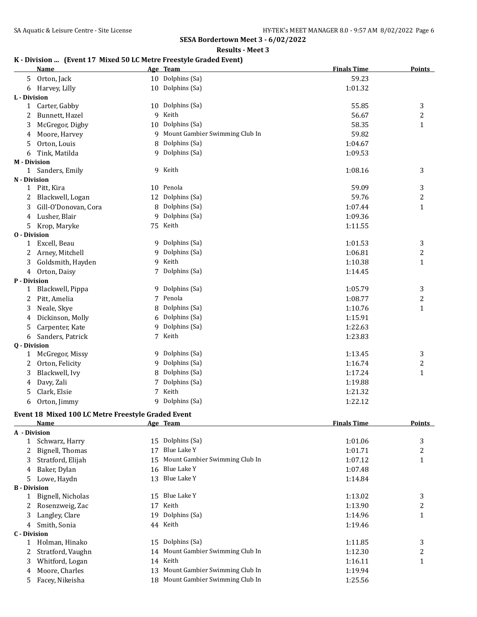**Results - Meet 3**

## **K - Division ... (Event 17 Mixed 50 LC Metre Freestyle Graded Event)**

|                     | <b>Name</b>          |    | Age Team                       | <b>Finals Time</b> | <b>Points</b>  |
|---------------------|----------------------|----|--------------------------------|--------------------|----------------|
| 5                   | Orton, Jack          |    | 10 Dolphins (Sa)               | 59.23              |                |
| 6                   | Harvey, Lilly        |    | 10 Dolphins (Sa)               | 1:01.32            |                |
| L - Division        |                      |    |                                |                    |                |
| 1                   | Carter, Gabby        |    | 10 Dolphins (Sa)               | 55.85              | 3              |
| 2                   | Bunnett, Hazel       | 9  | Keith                          | 56.67              | $\overline{c}$ |
| 3                   | McGregor, Digby      | 10 | Dolphins (Sa)                  | 58.35              | $\mathbf{1}$   |
| 4                   | Moore, Harvey        | 9  | Mount Gambier Swimming Club In | 59.82              |                |
| 5                   | Orton, Louis         |    | Dolphins (Sa)                  | 1:04.67            |                |
| 6                   | Tink, Matilda        |    | 9 Dolphins (Sa)                | 1:09.53            |                |
| <b>M</b> - Division |                      |    |                                |                    |                |
| 1                   | Sanders, Emily       |    | 9 Keith                        | 1:08.16            | 3              |
| N - Division        |                      |    |                                |                    |                |
| 1                   | Pitt, Kira           |    | 10 Penola                      | 59.09              | 3              |
| 2                   | Blackwell, Logan     |    | 12 Dolphins (Sa)               | 59.76              | $\overline{c}$ |
| 3                   | Gill-O'Donovan, Cora | 8  | Dolphins (Sa)                  | 1:07.44            | $\mathbf{1}$   |
| 4                   | Lusher, Blair        | 9  | Dolphins (Sa)                  | 1:09.36            |                |
| 5                   | Krop, Maryke         | 75 | Keith                          | 1:11.55            |                |
| <b>0</b> - Division |                      |    |                                |                    |                |
| 1                   | Excell, Beau         |    | 9 Dolphins (Sa)                | 1:01.53            | 3              |
| 2                   | Arney, Mitchell      | 9  | Dolphins (Sa)                  | 1:06.81            | 2              |
| 3                   | Goldsmith, Hayden    | 9  | Keith                          | 1:10.38            | $\mathbf{1}$   |
| 4                   | Orton, Daisy         | 7  | Dolphins (Sa)                  | 1:14.45            |                |
| P - Division        |                      |    |                                |                    |                |
| 1                   | Blackwell, Pippa     | 9  | Dolphins (Sa)                  | 1:05.79            | 3              |
| 2                   | Pitt, Amelia         | 7  | Penola                         | 1:08.77            | 2              |
| 3                   | Neale, Skye          | 8  | Dolphins (Sa)                  | 1:10.76            | $\mathbf{1}$   |
| 4                   | Dickinson, Molly     | 6  | Dolphins (Sa)                  | 1:15.91            |                |
| 5                   | Carpenter, Kate      | 9  | Dolphins (Sa)                  | 1:22.63            |                |
| 6                   | Sanders, Patrick     | 7  | Keith                          | 1:23.83            |                |
| Q - Division        |                      |    |                                |                    |                |
| 1                   | McGregor, Missy      |    | 9 Dolphins (Sa)                | 1:13.45            | 3              |
| 2                   | Orton, Felicity      | 9  | Dolphins (Sa)                  | 1:16.74            | 2              |
| 3                   | Blackwell, Ivy       | 8  | Dolphins (Sa)                  | 1:17.24            | $\mathbf{1}$   |
| 4                   | Davy, Zali           | 7  | Dolphins (Sa)                  | 1:19.88            |                |
| 5                   | Clark, Elsie         | 7  | Keith                          | 1:21.32            |                |
| 6                   | Orton, Jimmy         | 9  | Dolphins (Sa)                  | 1:22.12            |                |

#### **Event 18 Mixed 100 LC Metre Freestyle Graded Event**

|                     | Name              |     | Age Team                          | <b>Finals Time</b> | <b>Points</b> |
|---------------------|-------------------|-----|-----------------------------------|--------------------|---------------|
| A - Division        |                   |     |                                   |                    |               |
|                     | Schwarz, Harry    | 15  | Dolphins (Sa)                     | 1:01.06            | 3             |
|                     | Bignell, Thomas   | 17  | Blue Lake Y                       | 1:01.71            | 2             |
| 3                   | Stratford, Elijah |     | 15 Mount Gambier Swimming Club In | 1:07.12            | 1             |
| 4                   | Baker, Dylan      | 16  | Blue Lake Y                       | 1:07.48            |               |
| 5                   | Lowe, Haydn       |     | 13 Blue Lake Y                    | 1:14.84            |               |
| <b>B</b> - Division |                   |     |                                   |                    |               |
|                     | Bignell, Nicholas | 15  | Blue Lake Y                       | 1:13.02            | 3             |
|                     | Rosenzweig, Zac   | 17  | Keith                             | 1:13.90            | 2             |
| 3                   | Langley, Clare    | 19  | Dolphins (Sa)                     | 1:14.96            | 1             |
| 4                   | Smith, Sonia      |     | 44 Keith                          | 1:19.46            |               |
| C - Division        |                   |     |                                   |                    |               |
|                     | Holman, Hinako    | 15  | Dolphins (Sa)                     | 1:11.85            | 3             |
|                     | Stratford, Vaughn |     | 14 Mount Gambier Swimming Club In | 1:12.30            | 2             |
| 3                   | Whitford, Logan   |     | 14 Keith                          | 1:16.11            | 1             |
| 4                   | Moore, Charles    | 13. | Mount Gambier Swimming Club In    | 1:19.94            |               |
| 5                   | Facey, Nikeisha   |     | 18 Mount Gambier Swimming Club In | 1:25.56            |               |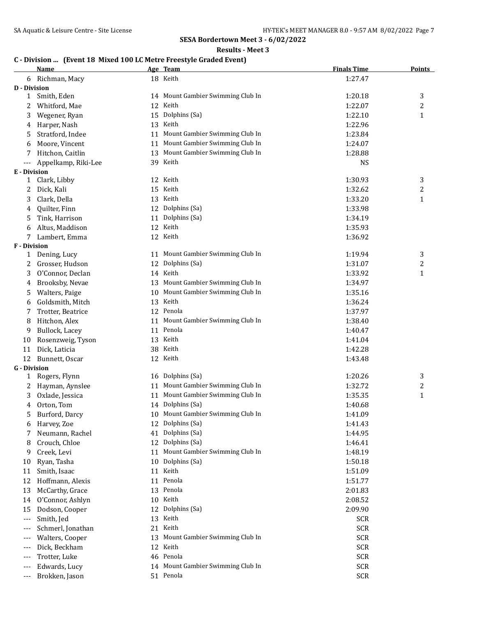**Results - Meet 3**

# **C - Division ... (Event 18 Mixed 100 LC Metre Freestyle Graded Event)**

|                     | <b>Name</b>         |    | Age Team                          | <b>Finals Time</b> | <b>Points</b>    |
|---------------------|---------------------|----|-----------------------------------|--------------------|------------------|
|                     | 6 Richman, Macy     |    | 18 Keith                          | 1:27.47            |                  |
| <b>D</b> - Division |                     |    |                                   |                    |                  |
| $\mathbf{1}$        | Smith, Eden         |    | 14 Mount Gambier Swimming Club In | 1:20.18            | 3                |
| 2                   | Whitford, Mae       |    | 12 Keith                          | 1:22.07            | 2                |
| 3                   | Wegener, Ryan       | 15 | Dolphins (Sa)                     | 1:22.10            | $\mathbf{1}$     |
| 4                   | Harper, Nash        |    | 13 Keith                          | 1:22.96            |                  |
| 5                   | Stratford, Indee    | 11 | Mount Gambier Swimming Club In    | 1:23.84            |                  |
| 6                   | Moore, Vincent      |    | 11 Mount Gambier Swimming Club In | 1:24.07            |                  |
| 7                   | Hitchon, Caitlin    | 13 | Mount Gambier Swimming Club In    | 1:28.88            |                  |
| ---                 | Appelkamp, Riki-Lee |    | 39 Keith                          | <b>NS</b>          |                  |
| E - Division        |                     |    |                                   |                    |                  |
| 1                   | Clark, Libby        |    | 12 Keith                          | 1:30.93            | 3                |
| 2                   | Dick, Kali          |    | 15 Keith                          | 1:32.62            | 2                |
| 3                   | Clark, Della        |    | 13 Keith                          | 1:33.20            | $\mathbf{1}$     |
| 4                   | Quilter, Finn       |    | 12 Dolphins (Sa)                  | 1:33.98            |                  |
| 5                   | Tink, Harrison      |    | 11 Dolphins (Sa)                  | 1:34.19            |                  |
| 6                   | Altus, Maddison     |    | 12 Keith                          | 1:35.93            |                  |
| 7                   | Lambert, Emma       |    | 12 Keith                          | 1:36.92            |                  |
| F - Division        |                     |    |                                   |                    |                  |
| 1                   | Dening, Lucy        |    | 11 Mount Gambier Swimming Club In | 1:19.94            | 3                |
| 2                   | Grosser, Hudson     | 12 | Dolphins (Sa)                     | 1:31.07            | 2                |
| 3                   | O'Connor, Declan    |    | 14 Keith                          | 1:33.92            | $\mathbf{1}$     |
| 4                   | Brooksby, Nevae     | 13 | Mount Gambier Swimming Club In    | 1:34.97            |                  |
| 5                   | Walters, Paige      | 10 | Mount Gambier Swimming Club In    | 1:35.16            |                  |
| 6                   | Goldsmith, Mitch    |    | 13 Keith                          | 1:36.24            |                  |
| 7                   | Trotter, Beatrice   |    | 12 Penola                         | 1:37.97            |                  |
| 8                   | Hitchon, Alex       |    | 11 Mount Gambier Swimming Club In | 1:38.40            |                  |
| 9                   | Bullock, Lacey      |    | 11 Penola                         | 1:40.47            |                  |
| 10                  | Rosenzweig, Tyson   |    | 13 Keith                          | 1:41.04            |                  |
| 11                  | Dick, Laticia       |    | 38 Keith                          | 1:42.28            |                  |
| 12                  | Bunnett, Oscar      |    | 12 Keith                          | 1:43.48            |                  |
| <b>G</b> - Division |                     |    |                                   |                    |                  |
| 1                   | Rogers, Flynn       |    | 16 Dolphins (Sa)                  | 1:20.26            | 3                |
| 2                   | Hayman, Aynslee     |    | 11 Mount Gambier Swimming Club In | 1:32.72            | $\boldsymbol{2}$ |
| 3                   | Oxlade, Jessica     |    | 11 Mount Gambier Swimming Club In | 1:35.35            | $\mathbf{1}$     |
| 4                   | Orton, Tom          |    | 14 Dolphins (Sa)                  | 1:40.68            |                  |
|                     | 5 Burford, Darcy    |    | 10 Mount Gambier Swimming Club In | 1:41.09            |                  |
| 6                   | Harvey, Zoe         |    | 12 Dolphins (Sa)                  | 1:41.43            |                  |
| 7                   | Neumann, Rachel     | 41 | Dolphins (Sa)                     | 1:44.95            |                  |
| 8                   | Crouch, Chloe       |    | 12 Dolphins (Sa)                  | 1:46.41            |                  |
| 9                   | Creek, Levi         | 11 | Mount Gambier Swimming Club In    | 1:48.19            |                  |
|                     |                     |    | Dolphins (Sa)                     |                    |                  |
| 10                  | Ryan, Tasha         | 10 | Keith                             | 1:50.18            |                  |
| 11                  | Smith, Isaac        | 11 | Penola                            | 1:51.09            |                  |
| 12                  | Hoffmann, Alexis    | 11 |                                   | 1:51.77            |                  |
| 13                  | McCarthy, Grace     | 13 | Penola                            | 2:01.83            |                  |
| 14                  | O'Connor, Ashlyn    | 10 | Keith                             | 2:08.52            |                  |
| 15                  | Dodson, Cooper      | 12 | Dolphins (Sa)                     | 2:09.90            |                  |
| ---                 | Smith, Jed          | 13 | Keith                             | <b>SCR</b>         |                  |
| ---                 | Schmerl, Jonathan   | 21 | Keith                             | <b>SCR</b>         |                  |
|                     | Walters, Cooper     | 13 | Mount Gambier Swimming Club In    | <b>SCR</b>         |                  |
| $---$               | Dick, Beckham       | 12 | Keith                             | <b>SCR</b>         |                  |
| $---$               | Trotter, Luke       | 46 | Penola                            | <b>SCR</b>         |                  |
| $---$               | Edwards, Lucy       |    | 14 Mount Gambier Swimming Club In | <b>SCR</b>         |                  |
| $---$               | Brokken, Jason      |    | 51 Penola                         | <b>SCR</b>         |                  |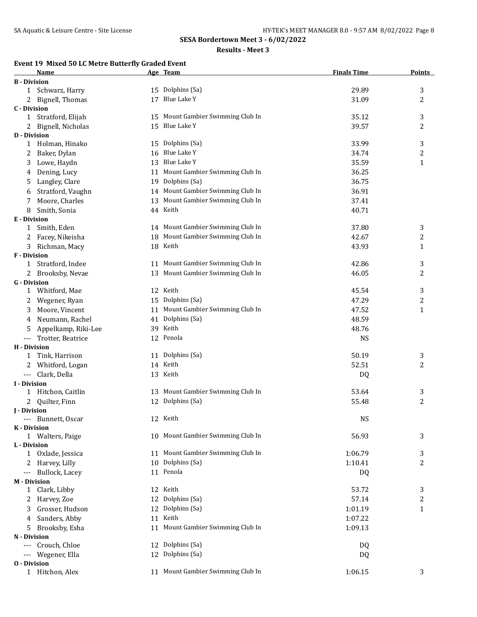#### **Results - Meet 3**

## **Event 19 Mixed 50 LC Metre Butterfly Graded Event**

|                     | Name                             |    | Age Team                          | <b>Finals Time</b> | <b>Points</b>  |
|---------------------|----------------------------------|----|-----------------------------------|--------------------|----------------|
| <b>B</b> - Division |                                  |    |                                   |                    |                |
| 1                   | Schwarz, Harry                   |    | 15 Dolphins (Sa)                  | 29.89              | 3              |
|                     | Bignell, Thomas                  | 17 | Blue Lake Y                       | 31.09              | $\overline{2}$ |
| <b>C</b> - Division |                                  |    |                                   |                    |                |
| 1                   | Stratford, Elijah                |    | 15 Mount Gambier Swimming Club In | 35.12              | 3              |
|                     | Bignell, Nicholas                |    | 15 Blue Lake Y                    | 39.57              | 2              |
| <b>D</b> - Division |                                  |    |                                   |                    |                |
| 1                   | Holman, Hinako                   |    | 15 Dolphins (Sa)                  | 33.99              | 3              |
| 2                   | Baker, Dylan                     |    | 16 Blue Lake Y                    | 34.74              | 2              |
| 3                   | Lowe, Haydn                      |    | 13 Blue Lake Y                    | 35.59              | 1              |
| 4                   | Dening, Lucy                     |    | 11 Mount Gambier Swimming Club In | 36.25              |                |
| 5                   | Langley, Clare                   |    | 19 Dolphins (Sa)                  | 36.75              |                |
| 6                   | Stratford, Vaughn                |    | 14 Mount Gambier Swimming Club In | 36.91              |                |
| 7                   | Moore, Charles                   | 13 | Mount Gambier Swimming Club In    | 37.41              |                |
| 8                   | Smith, Sonia                     |    | 44 Keith                          | 40.71              |                |
| E - Division        |                                  |    |                                   |                    |                |
| 1                   | Smith, Eden                      |    | 14 Mount Gambier Swimming Club In | 37.80              | 3              |
| 2                   | Facey, Nikeisha                  |    | 18 Mount Gambier Swimming Club In | 42.67              | 2              |
| 3                   | Richman, Macy                    |    | 18 Keith                          | 43.93              | 1              |
| <b>F</b> - Division |                                  |    |                                   |                    |                |
| 1                   | Stratford, Indee                 |    | 11 Mount Gambier Swimming Club In | 42.86              | 3              |
| 2                   | Brooksby, Nevae                  |    | 13 Mount Gambier Swimming Club In | 46.05              | 2              |
| <b>G</b> - Division |                                  |    |                                   |                    |                |
| 1                   | Whitford, Mae                    |    | 12 Keith                          | 45.54              | 3              |
| 2                   | Wegener, Ryan                    |    | 15 Dolphins (Sa)                  | 47.29              | 2              |
| 3                   | Moore, Vincent                   |    | 11 Mount Gambier Swimming Club In | 47.52              | $\mathbf{1}$   |
| 4                   | Neumann, Rachel                  |    | 41 Dolphins (Sa)                  | 48.59              |                |
| 5                   | Appelkamp, Riki-Lee              |    | 39 Keith                          | 48.76              |                |
| ---                 | Trotter, Beatrice                |    | 12 Penola                         | <b>NS</b>          |                |
| <b>H</b> - Division |                                  |    |                                   |                    |                |
| 1                   | Tink, Harrison                   |    | 11 Dolphins (Sa)                  | 50.19              | 3              |
|                     | 2 Whitford, Logan                |    | 14 Keith                          | 52.51              | $\overline{c}$ |
| $---$               | Clark, Della                     |    | 13 Keith                          | DQ                 |                |
| <b>I</b> - Division |                                  |    |                                   |                    |                |
|                     | 1 Hitchon, Caitlin               |    | 13 Mount Gambier Swimming Club In | 53.64              | 3              |
| $2^{\circ}$         | Quilter, Finn                    |    | 12 Dolphins (Sa)                  | 55.48              | 2              |
| <b>J</b> - Division |                                  |    |                                   |                    |                |
| ---                 | Bunnett, Oscar                   |    | 12 Keith                          | <b>NS</b>          |                |
|                     | K - Division<br>1 Walters, Paige |    | 10 Mount Gambier Swimming Club In | 56.93              | 3              |
| L - Division        |                                  |    |                                   |                    |                |
|                     | 1 Oxlade, Jessica                |    | 11 Mount Gambier Swimming Club In | 1:06.79            | 3              |
| 2                   | Harvey, Lilly                    |    | 10 Dolphins (Sa)                  | 1:10.41            | 2              |
| ---                 | Bullock, Lacey                   |    | 11 Penola                         | DQ                 |                |
|                     | <b>M</b> - Division              |    |                                   |                    |                |
| $\mathbf{1}$        | Clark, Libby                     |    | 12 Keith                          | 53.72              | 3              |
| 2                   | Harvey, Zoe                      | 12 | Dolphins (Sa)                     | 57.14              | 2              |
| 3                   | Grosser, Hudson                  |    | 12 Dolphins (Sa)                  | 1:01.19            | 1              |
| 4                   | Sanders, Abby                    | 11 | Keith                             | 1:07.22            |                |
| 5                   | Brooksby, Esha                   |    | 11 Mount Gambier Swimming Club In | 1:09.13            |                |
|                     | N - Division                     |    |                                   |                    |                |
| ---                 | Crouch, Chloe                    |    | 12 Dolphins (Sa)                  | DQ                 |                |
| ---                 | Wegener, Ella                    |    | 12 Dolphins (Sa)                  | DQ                 |                |
| <b>0</b> - Division |                                  |    |                                   |                    |                |
|                     | 1 Hitchon, Alex                  |    | 11 Mount Gambier Swimming Club In | 1:06.15            | 3              |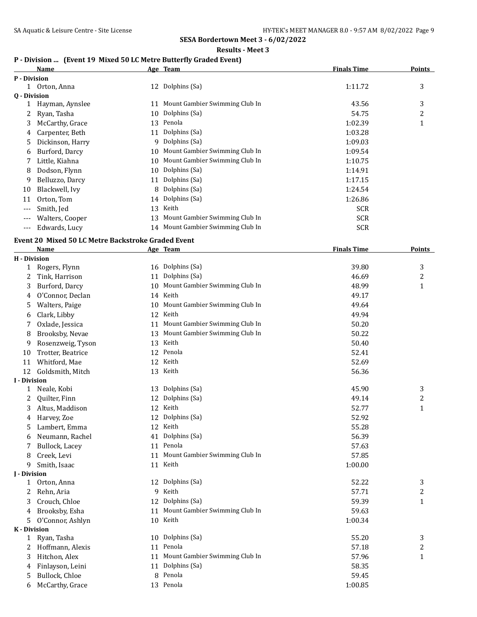**Results - Meet 3**

# **P - Division ... (Event 19 Mixed 50 LC Metre Butterfly Graded Event)**

|                     | Name                                               |    | Age Team                          | <b>Finals Time</b> | <b>Points</b>    |
|---------------------|----------------------------------------------------|----|-----------------------------------|--------------------|------------------|
| P - Division        |                                                    |    |                                   |                    |                  |
|                     | 1 Orton, Anna                                      |    | 12 Dolphins (Sa)                  | 1:11.72            | 3                |
| Q - Division        |                                                    |    |                                   |                    |                  |
| 1                   | Hayman, Aynslee                                    |    | 11 Mount Gambier Swimming Club In | 43.56              | 3                |
| 2                   | Ryan, Tasha                                        |    | 10 Dolphins (Sa)                  | 54.75              | $\boldsymbol{2}$ |
| 3                   | McCarthy, Grace                                    |    | 13 Penola                         | 1:02.39            | $\mathbf{1}$     |
| 4                   | Carpenter, Beth                                    |    | 11 Dolphins (Sa)                  | 1:03.28            |                  |
| 5                   | Dickinson, Harry                                   |    | 9 Dolphins (Sa)                   | 1:09.03            |                  |
| 6                   | Burford, Darcy                                     |    | 10 Mount Gambier Swimming Club In | 1:09.54            |                  |
| 7                   | Little, Kiahna                                     |    | 10 Mount Gambier Swimming Club In | 1:10.75            |                  |
| 8                   | Dodson, Flynn                                      |    | 10 Dolphins (Sa)                  | 1:14.91            |                  |
| 9                   | Belluzzo, Darcy                                    | 11 | Dolphins (Sa)                     | 1:17.15            |                  |
| 10                  | Blackwell, Ivy                                     | 8  | Dolphins (Sa)                     | 1:24.54            |                  |
| 11                  | Orton, Tom                                         | 14 | Dolphins (Sa)                     | 1:26.86            |                  |
| $---$               | Smith, Jed                                         |    | 13 Keith                          | <b>SCR</b>         |                  |
|                     | Walters, Cooper                                    |    | 13 Mount Gambier Swimming Club In | <b>SCR</b>         |                  |
| ---                 | Edwards, Lucy                                      |    | 14 Mount Gambier Swimming Club In | <b>SCR</b>         |                  |
|                     |                                                    |    |                                   |                    |                  |
|                     | Event 20 Mixed 50 LC Metre Backstroke Graded Event |    |                                   |                    |                  |
|                     | Name                                               |    | Age Team                          | <b>Finals Time</b> | <b>Points</b>    |
| <b>H</b> - Division |                                                    |    |                                   |                    |                  |
|                     | 1 Rogers, Flynn                                    |    | 16 Dolphins (Sa)                  | 39.80              | 3                |
| 2                   | Tink, Harrison                                     |    | 11 Dolphins (Sa)                  | 46.69              | 2                |
| 3                   | Burford, Darcy                                     |    | 10 Mount Gambier Swimming Club In | 48.99              | $\mathbf{1}$     |
| 4                   | O'Connor, Declan                                   |    | 14 Keith                          | 49.17              |                  |
| 5                   | Walters, Paige                                     | 10 | Mount Gambier Swimming Club In    | 49.64              |                  |
| 6                   | Clark, Libby                                       | 12 | Keith                             | 49.94              |                  |
| 7                   | Oxlade, Jessica                                    | 11 | Mount Gambier Swimming Club In    | 50.20              |                  |
| 8                   | Brooksby, Nevae                                    | 13 | Mount Gambier Swimming Club In    | 50.22              |                  |
| 9                   | Rosenzweig, Tyson                                  | 13 | Keith                             | 50.40              |                  |
| 10                  | Trotter, Beatrice                                  |    | 12 Penola                         | 52.41              |                  |
| 11                  | Whitford, Mae                                      |    | 12 Keith                          | 52.69              |                  |
| 12                  | Goldsmith, Mitch                                   |    | 13 Keith                          | 56.36              |                  |
| <b>I</b> - Division |                                                    |    |                                   |                    |                  |
| 1                   | Neale, Kobi                                        |    | 13 Dolphins (Sa)                  | 45.90              | 3                |
| 2                   | Quilter, Finn                                      |    | 12 Dolphins (Sa)                  | 49.14              | $\overline{c}$   |
| 3                   | Altus, Maddison                                    |    | 12 Keith                          | 52.77              | $\mathbf{1}$     |
|                     | Harvey, Zoe                                        |    | 12 Dolphins (Sa)                  | 52.92              |                  |
| 5                   | Lambert, Emma                                      |    | 12 Keith                          | 55.28              |                  |
| 6                   | Neumann, Rachel                                    |    | 41 Dolphins (Sa)                  | 56.39              |                  |
| 7                   | Bullock, Lacey                                     |    | 11 Penola                         | 57.63              |                  |
| 8                   | Creek, Levi                                        | 11 | Mount Gambier Swimming Club In    | 57.85              |                  |
| 9                   | Smith, Isaac                                       |    | 11 Keith                          | 1:00.00            |                  |
| J - Division        |                                                    |    |                                   |                    |                  |
| $\mathbf{1}$        | Orton, Anna                                        |    | 12 Dolphins (Sa)                  | 52.22              | 3                |
| 2                   | Rehn, Aria                                         |    | 9 Keith                           | 57.71              | 2                |
| 3                   | Crouch, Chloe                                      |    | 12 Dolphins (Sa)                  | 59.39              | $\mathbf{1}$     |
| 4                   | Brooksby, Esha                                     | 11 | Mount Gambier Swimming Club In    | 59.63              |                  |
| 5                   | O'Connor, Ashlyn                                   |    | 10 Keith                          | 1:00.34            |                  |
| K - Division        |                                                    |    |                                   |                    |                  |
| 1                   | Ryan, Tasha                                        |    | 10 Dolphins (Sa)                  | 55.20              | 3                |
| 2                   | Hoffmann, Alexis                                   |    | 11 Penola                         | 57.18              | 2                |
| 3                   | Hitchon, Alex                                      |    | 11 Mount Gambier Swimming Club In | 57.96              | $\mathbf{1}$     |
| 4                   | Finlayson, Leini                                   |    | 11 Dolphins (Sa)                  | 58.35              |                  |
| 5                   | Bullock, Chloe                                     |    | 8 Penola                          | 59.45              |                  |
| 6                   | McCarthy, Grace                                    |    | 13 Penola                         | 1:00.85            |                  |
|                     |                                                    |    |                                   |                    |                  |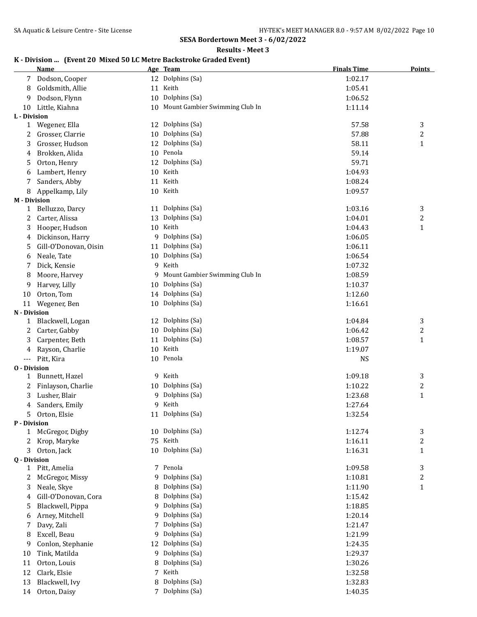**Results - Meet 3**

# **K - Division ... (Event 20 Mixed 50 LC Metre Backstroke Graded Event)**

|                     | <b>Name</b>           |    | Age Team                          | <b>Finals Time</b> | <b>Points</b>    |
|---------------------|-----------------------|----|-----------------------------------|--------------------|------------------|
|                     | Dodson, Cooper        |    | 12 Dolphins (Sa)                  | 1:02.17            |                  |
| 8                   | Goldsmith, Allie      |    | 11 Keith                          | 1:05.41            |                  |
| 9                   | Dodson, Flynn         |    | 10 Dolphins (Sa)                  | 1:06.52            |                  |
| 10                  | Little, Kiahna        |    | 10 Mount Gambier Swimming Club In | 1:11.14            |                  |
| L - Division        |                       |    |                                   |                    |                  |
| $\mathbf{1}$        | Wegener, Ella         |    | 12 Dolphins (Sa)                  | 57.58              | 3                |
| 2                   | Grosser, Clarrie      |    | 10 Dolphins (Sa)                  | 57.88              | $\overline{c}$   |
| 3                   | Grosser, Hudson       | 12 | Dolphins (Sa)                     | 58.11              | $\mathbf{1}$     |
| 4                   | Brokken, Alida        |    | 10 Penola                         | 59.14              |                  |
| 5                   | Orton, Henry          | 12 | Dolphins (Sa)                     | 59.71              |                  |
| 6                   | Lambert, Henry        | 10 | Keith                             | 1:04.93            |                  |
|                     | Sanders, Abby         | 11 | Keith                             | 1:08.24            |                  |
| 8                   | Appelkamp, Lily       |    | 10 Keith                          | 1:09.57            |                  |
| <b>M</b> - Division |                       |    |                                   |                    |                  |
| 1                   | Belluzzo, Darcy       | 11 | Dolphins (Sa)                     | 1:03.16            | 3                |
| 2                   | Carter, Alissa        | 13 | Dolphins (Sa)                     | 1:04.01            | 2                |
| 3                   | Hooper, Hudson        |    | 10 Keith                          | 1:04.43            | $\mathbf{1}$     |
| 4                   | Dickinson, Harry      |    | 9 Dolphins (Sa)                   | 1:06.05            |                  |
| 5                   | Gill-O'Donovan, Oisin |    | 11 Dolphins (Sa)                  | 1:06.11            |                  |
| 6                   | Neale, Tate           |    | 10 Dolphins (Sa)                  | 1:06.54            |                  |
| 7                   | Dick, Kensie          |    | 9 Keith                           | 1:07.32            |                  |
| 8                   | Moore, Harvey         |    | 9 Mount Gambier Swimming Club In  | 1:08.59            |                  |
| 9                   | Harvey, Lilly         | 10 | Dolphins (Sa)                     | 1:10.37            |                  |
| 10                  | Orton, Tom            |    | 14 Dolphins (Sa)                  | 1:12.60            |                  |
| 11                  | Wegener, Ben          |    | 10 Dolphins (Sa)                  | 1:16.61            |                  |
| N - Division        |                       |    |                                   |                    |                  |
| 1                   | Blackwell, Logan      |    | 12 Dolphins (Sa)                  | 1:04.84            | 3                |
| 2                   | Carter, Gabby         |    | 10 Dolphins (Sa)                  | 1:06.42            | 2                |
| 3                   | Carpenter, Beth       | 11 | Dolphins (Sa)                     | 1:08.57            | $\mathbf{1}$     |
| 4                   | Rayson, Charlie       |    | 10 Keith                          | 1:19.07            |                  |
| $---$               | Pitt, Kira            |    | 10 Penola                         | <b>NS</b>          |                  |
| <b>0</b> - Division |                       |    |                                   |                    |                  |
| 1                   | Bunnett, Hazel        |    | 9 Keith                           | 1:09.18            | 3                |
| 2                   | Finlayson, Charlie    |    | 10 Dolphins (Sa)                  | 1:10.22            | 2                |
| 3                   | Lusher, Blair         |    | 9 Dolphins (Sa)                   | 1:23.68            | $\mathbf{1}$     |
| 4                   | Sanders, Emily        |    | 9 Keith                           | 1:27.64            |                  |
|                     | Orton, Elsie          |    | 11 Dolphins (Sa)                  | 1:32.54            |                  |
| P - Division        |                       |    |                                   |                    |                  |
| $\mathbf{1}$        | McGregor, Digby       |    | 10 Dolphins (Sa)                  | 1:12.74            | 3                |
| 2                   | Krop, Maryke          | 75 | Keith                             | 1:16.11            | $\boldsymbol{2}$ |
| 3                   | Orton, Jack           | 10 | Dolphins (Sa)                     | 1:16.31            | $\mathbf{1}$     |
| Q - Division        |                       |    |                                   |                    |                  |
| $\mathbf{1}$        | Pitt, Amelia          |    | 7 Penola                          | 1:09.58            | 3                |
| 2                   | McGregor, Missy       | 9. | Dolphins (Sa)                     | 1:10.81            | 2                |
| 3                   | Neale, Skye           |    | Dolphins (Sa)                     | 1:11.90            | 1                |
| 4                   | Gill-O'Donovan, Cora  | 8  | Dolphins (Sa)                     | 1:15.42            |                  |
| 5                   | Blackwell, Pippa      | 9  | Dolphins (Sa)                     | 1:18.85            |                  |
| 6                   | Arney, Mitchell       | 9  | Dolphins (Sa)                     | 1:20.14            |                  |
| 7                   | Davy, Zali            | 7  | Dolphins (Sa)                     | 1:21.47            |                  |
| 8                   | Excell, Beau          | 9  | Dolphins (Sa)                     | 1:21.99            |                  |
| 9                   | Conlon, Stephanie     | 12 | Dolphins (Sa)                     | 1:24.35            |                  |
| 10                  | Tink, Matilda         | 9  | Dolphins (Sa)                     | 1:29.37            |                  |
| 11                  | Orton, Louis          | 8  | Dolphins (Sa)                     | 1:30.26            |                  |
| 12                  | Clark, Elsie          | 7  | Keith                             | 1:32.58            |                  |
| 13                  | Blackwell, Ivy        | 8  | Dolphins (Sa)                     | 1:32.83            |                  |
| 14                  | Orton, Daisy          |    | 7 Dolphins (Sa)                   | 1:40.35            |                  |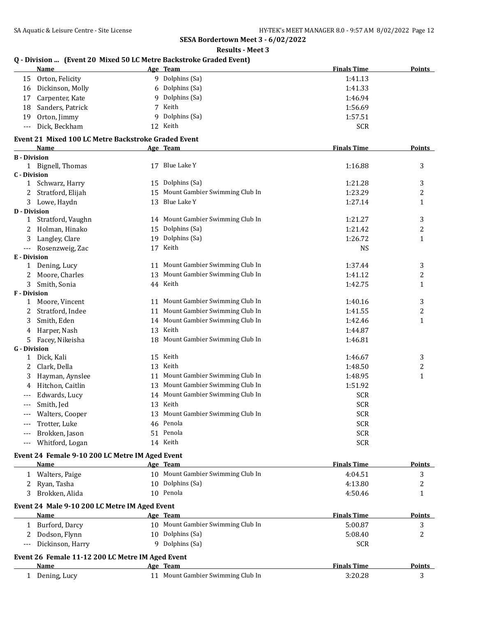**Results - Meet 3**

# **Q - Division ... (Event 20 Mixed 50 LC Metre Backstroke Graded Event)**

|                              | <u>Name</u>                                         |    | $\sim$ Division  Tevent 20 Mixed 30 EC Metre Datisti OKE draugu Event)<br>Age Team | <b>Finals Time</b> | <b>Points</b>           |
|------------------------------|-----------------------------------------------------|----|------------------------------------------------------------------------------------|--------------------|-------------------------|
|                              | 15 Orton, Felicity                                  |    | 9 Dolphins (Sa)                                                                    | 1:41.13            |                         |
|                              | 16 Dickinson, Molly                                 |    | 6 Dolphins (Sa)                                                                    | 1:41.33            |                         |
| 17                           | Carpenter, Kate                                     | 9  | Dolphins (Sa)                                                                      | 1:46.94            |                         |
| 18                           | Sanders, Patrick                                    |    | 7 Keith                                                                            | 1:56.69            |                         |
| 19                           | Orton, Jimmy                                        |    | 9 Dolphins (Sa)                                                                    | 1:57.51            |                         |
| $---$                        | Dick, Beckham                                       |    | 12 Keith                                                                           | <b>SCR</b>         |                         |
|                              | Event 21 Mixed 100 LC Metre Backstroke Graded Event |    |                                                                                    |                    |                         |
|                              | Name                                                |    | Age Team                                                                           | <b>Finals Time</b> | Points                  |
| <b>B</b> - Division          |                                                     |    |                                                                                    |                    |                         |
|                              | 1 Bignell, Thomas                                   |    | 17 Blue Lake Y                                                                     | 1:16.88            | 3                       |
| <b>C</b> - Division          |                                                     |    |                                                                                    |                    |                         |
| 1                            | Schwarz, Harry                                      |    | 15 Dolphins (Sa)                                                                   | 1:21.28            | 3                       |
| 2                            | Stratford, Elijah                                   |    | 15 Mount Gambier Swimming Club In                                                  | 1:23.29            | $\overline{c}$          |
| 3                            | Lowe, Haydn                                         |    | 13 Blue Lake Y                                                                     | 1:27.14            | $\mathbf{1}$            |
| <b>D</b> - Division          |                                                     |    |                                                                                    |                    |                         |
|                              | 1 Stratford, Vaughn                                 |    | 14 Mount Gambier Swimming Club In                                                  | 1:21.27            | 3                       |
| 2                            | Holman, Hinako                                      |    | 15 Dolphins (Sa)                                                                   | 1:21.42            | $\overline{c}$          |
| 3                            | Langley, Clare                                      |    | 19 Dolphins (Sa)                                                                   | 1:26.72            | $\mathbf 1$             |
| $\scriptstyle\cdots$         | Rosenzweig, Zac                                     |    | 17 Keith                                                                           | <b>NS</b>          |                         |
| E - Division                 |                                                     |    |                                                                                    |                    |                         |
|                              | 1 Dening, Lucy                                      |    | 11 Mount Gambier Swimming Club In                                                  | 1:37.44            | 3                       |
| 2                            | Moore, Charles                                      | 13 | Mount Gambier Swimming Club In                                                     | 1:41.12            | $\overline{\mathbf{c}}$ |
| $\mathbf{3}$<br>F - Division | Smith, Sonia                                        |    | 44 Keith                                                                           | 1:42.75            | $\mathbf{1}$            |
|                              | 1 Moore, Vincent                                    |    | 11 Mount Gambier Swimming Club In                                                  | 1:40.16            | 3                       |
| 2                            | Stratford, Indee                                    |    | 11 Mount Gambier Swimming Club In                                                  | 1:41.55            | $\overline{c}$          |
| 3                            | Smith, Eden                                         |    | 14 Mount Gambier Swimming Club In                                                  | 1:42.46            | $\mathbf{1}$            |
| 4                            | Harper, Nash                                        |    | 13 Keith                                                                           | 1:44.87            |                         |
| 5                            | Facey, Nikeisha                                     |    | 18 Mount Gambier Swimming Club In                                                  | 1:46.81            |                         |
| <b>G</b> - Division          |                                                     |    |                                                                                    |                    |                         |
| $\mathbf{1}$                 | Dick, Kali                                          |    | 15 Keith                                                                           | 1:46.67            | 3                       |
| 2                            | Clark, Della                                        |    | 13 Keith                                                                           | 1:48.50            | 2                       |
| 3                            | Hayman, Aynslee                                     |    | 11 Mount Gambier Swimming Club In                                                  | 1:48.95            | $\mathbf{1}$            |
| 4                            | Hitchon, Caitlin                                    |    | 13 Mount Gambier Swimming Club In                                                  | 1:51.92            |                         |
|                              | Edwards, Lucy                                       |    | 14 Mount Gambier Swimming Club In                                                  | <b>SCR</b>         |                         |
| $---$                        | Smith, Jed                                          |    | 13 Keith                                                                           | <b>SCR</b>         |                         |
|                              | Walters, Cooper                                     |    | 13 Mount Gambier Swimming Club In                                                  | <b>SCR</b>         |                         |
|                              | Trotter, Luke                                       |    | 46 Penola                                                                          | <b>SCR</b>         |                         |
|                              | Brokken, Jason                                      |    | 51 Penola                                                                          | <b>SCR</b>         |                         |
|                              | Whitford, Logan                                     |    | 14 Keith                                                                           | <b>SCR</b>         |                         |
|                              | Event 24 Female 9-10 200 LC Metre IM Aged Event     |    |                                                                                    |                    |                         |
|                              | Name                                                |    | Age Team                                                                           | <b>Finals Time</b> | <b>Points</b>           |
| 1                            | Walters, Paige                                      |    | 10 Mount Gambier Swimming Club In                                                  | 4:04.51            | 3                       |
| 2                            | Ryan, Tasha                                         |    | 10 Dolphins (Sa)                                                                   | 4:13.80            | 2                       |
| 3                            | Brokken, Alida                                      |    | 10 Penola                                                                          | 4:50.46            | 1                       |
|                              |                                                     |    |                                                                                    |                    |                         |
|                              | Event 24 Male 9-10 200 LC Metre IM Aged Event       |    |                                                                                    |                    |                         |
|                              | Name                                                |    | Age Team                                                                           | <b>Finals Time</b> | <b>Points</b>           |
|                              | 1 Burford, Darcy                                    |    | 10 Mount Gambier Swimming Club In                                                  | 5:00.87            | 3                       |
| 2                            | Dodson, Flynn                                       |    | 10 Dolphins (Sa)                                                                   | 5:08.40            | 2                       |
| $---$                        | Dickinson, Harry                                    |    | 9 Dolphins (Sa)                                                                    | <b>SCR</b>         |                         |
|                              | Event 26 Female 11-12 200 LC Metre IM Aged Event    |    |                                                                                    |                    |                         |
|                              | Name                                                |    | Age Team                                                                           | <b>Finals Time</b> | <b>Points</b>           |
|                              | 1 Dening, Lucy                                      |    | 11 Mount Gambier Swimming Club In                                                  | 3:20.28            | 3                       |